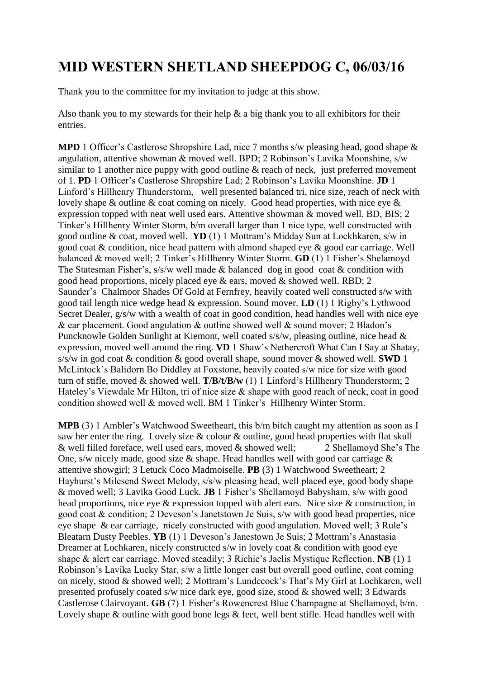## **MID WESTERN SHETLAND SHEEPDOG C, 06/03/16**

Thank you to the committee for my invitation to judge at this show.

Also thank you to my stewards for their help  $\&$  a big thank you to all exhibitors for their entries.

**MPD** 1 Officer's Castlerose Shropshire Lad, nice 7 months s/w pleasing head, good shape & angulation, attentive showman & moved well. BPD; 2 Robinson's Lavika Moonshine, s/w similar to 1 another nice puppy with good outline & reach of neck, just preferred movement of 1. **PD** 1 Officer's Castlerose Shropshire Lad; 2 Robinson's Lavika Moonshine. **JD** 1 Linford's Hillhenry Thunderstorm, well presented balanced tri, nice size, reach of neck with lovely shape & outline & coat coming on nicely. Good head properties, with nice eye & expression topped with neat well used ears. Attentive showman & moved well. BD, BIS; 2 Tinker's Hillhenry Winter Storm, b/m overall larger than 1 nice type, well constructed with good outline & coat, moved well. **YD** (1) 1 Mottram's Midday Sun at Lockhkaren, s/w in good coat & condition, nice head pattern with almond shaped eye & good ear carriage. Well balanced & moved well; 2 Tinker's Hillhenry Winter Storm. **GD** (1) 1 Fisher's Shelamoyd The Statesman Fisher's, s/s/w well made & balanced dog in good coat & condition with good head proportions, nicely placed eye & ears, moved & showed well. RBD; 2 Saunder's Chalmoor Shades Of Gold at Fernfrey, heavily coated well constructed s/w with good tail length nice wedge head & expression. Sound mover. **LD** (1) 1 Rigby's Lythwood Secret Dealer,  $g/s/w$  with a wealth of coat in good condition, head handles well with nice eye & ear placement. Good angulation & outline showed well & sound mover; 2 Bladon's Puncknowle Golden Sunlight at Kiemont, well coated s/s/w, pleasing outline, nice head & expression, moved well around the ring. **VD** 1 Shaw's Nethercroft What Can I Say at Shatay, s/s/w in god coat & condition & good overall shape, sound mover & showed well. **SWD** 1 McLintock's Balidorn Bo Diddley at Foxstone, heavily coated s/w nice for size with good turn of stifle, moved & showed well. **T/B/t/B/w** (1) 1 Linford's Hillhenry Thunderstorm; 2 Hateley's Viewdale Mr Hilton, tri of nice size & shape with good reach of neck, coat in good condition showed well & moved well. BM 1 Tinker's Hillhenry Winter Storm.

**MPB** (3) 1 Ambler's Watchwood Sweetheart, this b/m bitch caught my attention as soon as I saw her enter the ring. Lovely size & colour & outline, good head properties with flat skull & well filled foreface, well used ears, moved & showed well; 2 Shellamoyd She's The One, s/w nicely made, good size & shape. Head handles well with good ear carriage & attentive showgirl; 3 Letuck Coco Madmoiselle. **PB** (3) 1 Watchwood Sweetheart; 2 Hayhurst's Milesend Sweet Melody, s/s/w pleasing head, well placed eye, good body shape & moved well; 3 Lavika Good Luck. **JB** 1 Fisher's Shellamoyd Babysham, s/w with good head proportions, nice eye & expression topped with alert ears. Nice size & construction, in good coat & condition; 2 Deveson's Janetstown Je Suis, s/w with good head properties, nice eye shape & ear carriage, nicely constructed with good angulation. Moved well; 3 Rule's Bleatarn Dusty Peebles. **YB** (1) 1 Deveson's Janestown Je Suis; 2 Mottram's Anastasia Dreamer at Lochkaren, nicely constructed s/w in lovely coat & condition with good eye shape & alert ear carriage. Moved steadily; 3 Richie's Jaelis Mystique Reflection. **NB** (1) 1 Robinson's Lavika Lucky Star, s/w a little longer cast but overall good outline, coat coming on nicely, stood & showed well; 2 Mottram's Lundecock's That's My Girl at Lochkaren, well presented profusely coated s/w nice dark eye, good size, stood & showed well; 3 Edwards Castlerose Clairvoyant. **GB** (7) 1 Fisher's Rowencrest Blue Champagne at Shellamoyd, b/m. Lovely shape & outline with good bone legs & feet, well bent stifle. Head handles well with